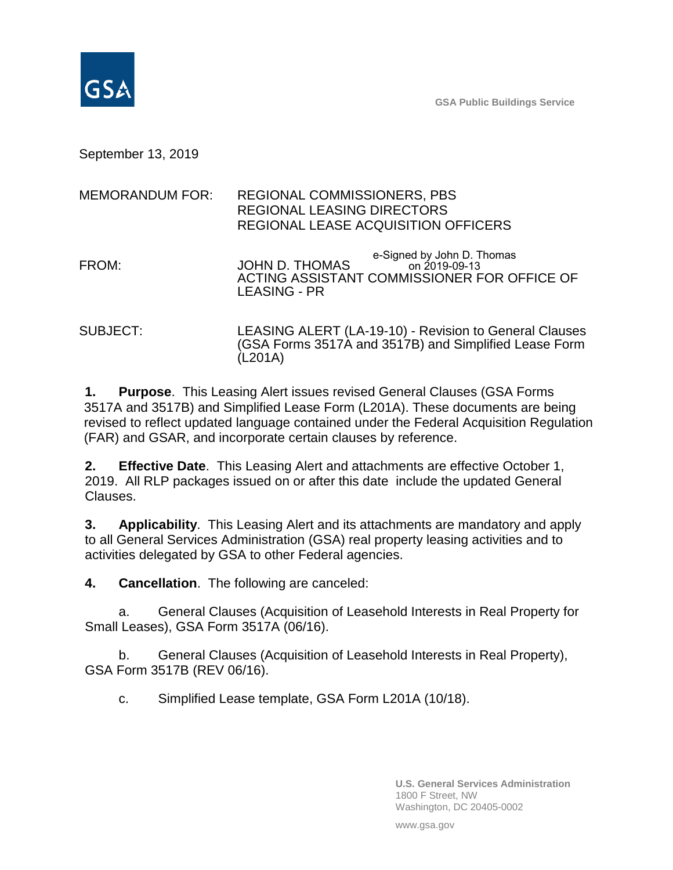**GSA Public Buildings Service**

September 13, 2019

| <b>MEMORANDUM FOR:</b> | <b>REGIONAL COMMISSIONERS, PBS</b><br><b>REGIONAL LEASING DIRECTORS</b><br><b>REGIONAL LEASE ACQUISITION OFFICERS</b>               |
|------------------------|-------------------------------------------------------------------------------------------------------------------------------------|
| FROM:                  | e-Signed by John D. Thomas<br>JOHN D. THOMAS<br>on 2019-09-13<br>ACTING ASSISTANT COMMISSIONER FOR OFFICE OF<br><b>LEASING - PR</b> |
| SUBJECT:               | LEASING ALERT (LA-19-10) - Revision to General Clauses<br>(GSA Forms 3517A and 3517B) and Simplified Lease Form<br>(L201A)          |

**1. Purpose**. This Leasing Alert issues revised General Clauses (GSA Forms 3517A and 3517B) and Simplified Lease Form (L201A). These documents are being revised to reflect updated language contained under the Federal Acquisition Regulation (FAR) and GSAR, and incorporate certain clauses by reference.

**2. Effective Date**. This Leasing Alert and attachments are effective October 1, 2019. All RLP packages issued on or after this date include the updated General Clauses.

**3. Applicability**. This Leasing Alert and its attachments are mandatory and apply to all General Services Administration (GSA) real property leasing activities and to activities delegated by GSA to other Federal agencies.

**4. Cancellation**. The following are canceled:

a. General Clauses (Acquisition of Leasehold Interests in Real Property for Small Leases), GSA Form 3517A (06/16).

b. General Clauses (Acquisition of Leasehold Interests in Real Property), GSA Form 3517B (REV 06/16).

c. Simplified Lease template, GSA Form L201A (10/18).

**U.S. General Services Administration** 1800 F Street, NW Washington, DC 20405-0002

www.gsa.gov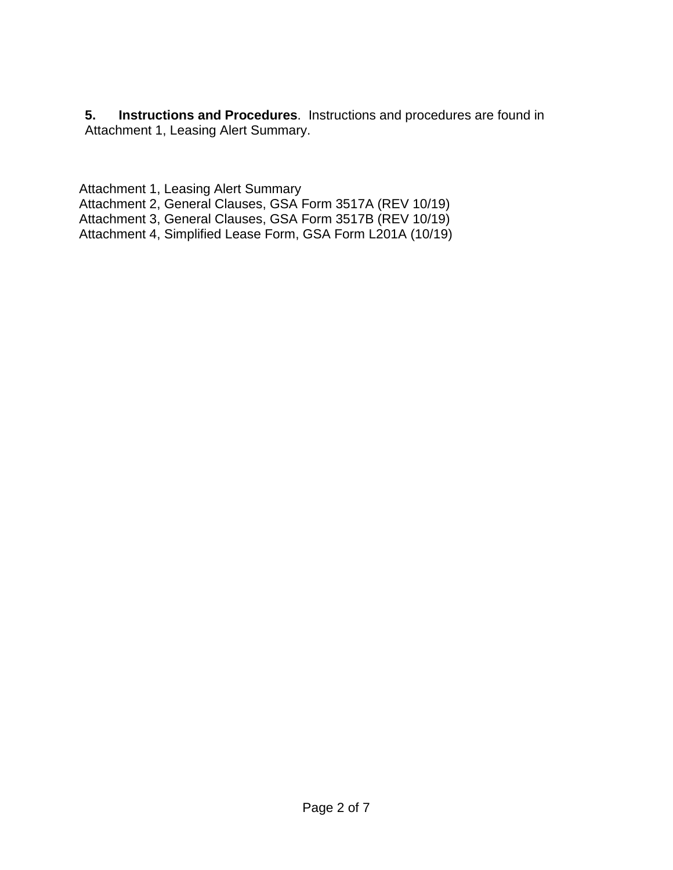**5. Instructions and Procedures**. Instructions and procedures are found in Attachment 1, Leasing Alert Summary.

Attachment 1, Leasing Alert Summary

Attachment 2, General Clauses, GSA Form 3517A (REV 10/19)

Attachment 3, General Clauses, GSA Form 3517B (REV 10/19)

Attachment 4, Simplified Lease Form, GSA Form L201A (10/19)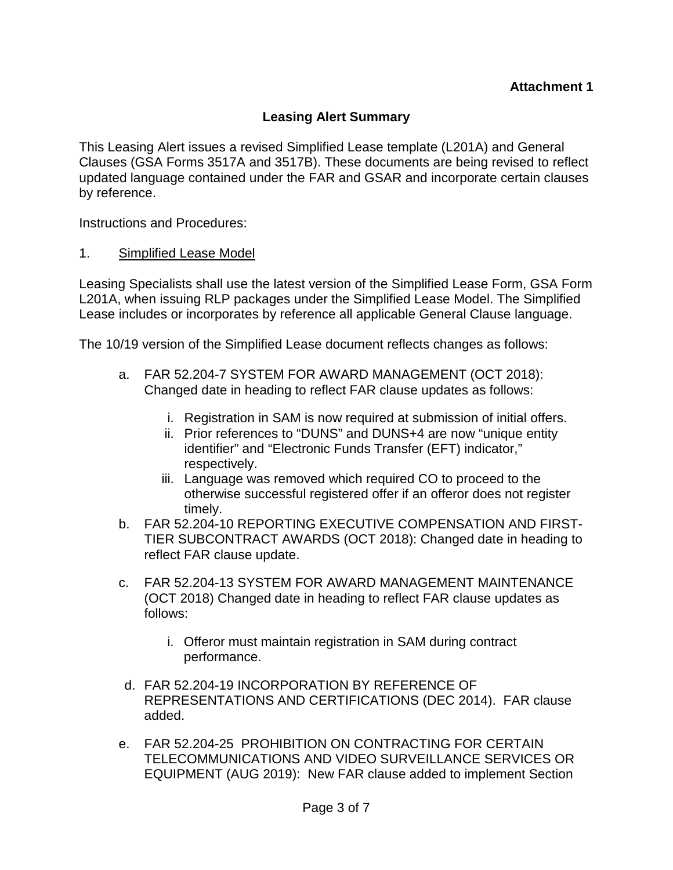## **Leasing Alert Summary**

This Leasing Alert issues a revised Simplified Lease template (L201A) and General Clauses (GSA Forms 3517A and 3517B). These documents are being revised to reflect updated language contained under the FAR and GSAR and incorporate certain clauses by reference.

Instructions and Procedures:

## 1. Simplified Lease Model

Leasing Specialists shall use the latest version of the Simplified Lease Form, GSA Form L201A, when issuing RLP packages under the Simplified Lease Model. The Simplified Lease includes or incorporates by reference all applicable General Clause language.

The 10/19 version of the Simplified Lease document reflects changes as follows:

- a. FAR 52.204-7 SYSTEM FOR AWARD MANAGEMENT (OCT 2018): Changed date in heading to reflect FAR clause updates as follows:
	- i. Registration in SAM is now required at submission of initial offers.
	- ii. Prior references to "DUNS" and DUNS+4 are now "unique entity identifier" and "Electronic Funds Transfer (EFT) indicator," respectively.
	- iii. Language was removed which required CO to proceed to the otherwise successful registered offer if an offeror does not register timely.
- b. FAR 52.204-10 REPORTING EXECUTIVE COMPENSATION AND FIRST-TIER SUBCONTRACT AWARDS (OCT 2018): Changed date in heading to reflect FAR clause update.
- c. FAR 52.204-13 SYSTEM FOR AWARD MANAGEMENT MAINTENANCE (OCT 2018) Changed date in heading to reflect FAR clause updates as follows:
	- i. Offeror must maintain registration in SAM during contract performance.
- d. FAR 52.204-19 INCORPORATION BY REFERENCE OF REPRESENTATIONS AND CERTIFICATIONS (DEC 2014). FAR clause added.
- e. FAR 52.204-25 PROHIBITION ON CONTRACTING FOR CERTAIN TELECOMMUNICATIONS AND VIDEO SURVEILLANCE SERVICES OR EQUIPMENT (AUG 2019): New FAR clause added to implement Section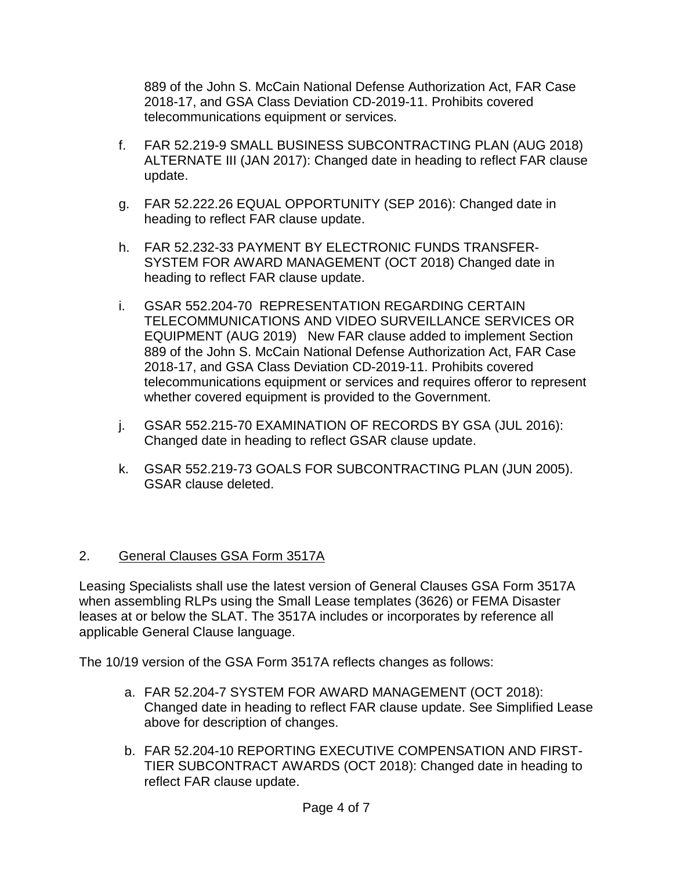889 of the John S. McCain National Defense Authorization Act, FAR Case 2018-17, and GSA Class Deviation CD-2019-11. Prohibits covered telecommunications equipment or services.

- f. FAR 52.219-9 SMALL BUSINESS SUBCONTRACTING PLAN (AUG 2018) ALTERNATE III (JAN 2017): Changed date in heading to reflect FAR clause update.
- g. FAR 52.222.26 EQUAL OPPORTUNITY (SEP 2016): Changed date in heading to reflect FAR clause update.
- h. FAR 52.232-33 PAYMENT BY ELECTRONIC FUNDS TRANSFER-SYSTEM FOR AWARD MANAGEMENT (OCT 2018) Changed date in heading to reflect FAR clause update.
- i. GSAR 552.204-70 REPRESENTATION REGARDING CERTAIN TELECOMMUNICATIONS AND VIDEO SURVEILLANCE SERVICES OR EQUIPMENT (AUG 2019) New FAR clause added to implement Section 889 of the John S. McCain National Defense Authorization Act, FAR Case 2018-17, and GSA Class Deviation CD-2019-11. Prohibits covered telecommunications equipment or services and requires offeror to represent whether covered equipment is provided to the Government.
- j. GSAR 552.215-70 EXAMINATION OF RECORDS BY GSA (JUL 2016): Changed date in heading to reflect GSAR clause update.
- k. GSAR 552.219-73 GOALS FOR SUBCONTRACTING PLAN (JUN 2005). GSAR clause deleted.

## 2. General Clauses GSA Form 3517A

Leasing Specialists shall use the latest version of General Clauses GSA Form 3517A when assembling RLPs using the Small Lease templates (3626) or FEMA Disaster leases at or below the SLAT. The 3517A includes or incorporates by reference all applicable General Clause language.

The 10/19 version of the GSA Form 3517A reflects changes as follows:

- a. FAR 52.204-7 SYSTEM FOR AWARD MANAGEMENT (OCT 2018): Changed date in heading to reflect FAR clause update. See Simplified Lease above for description of changes.
- b. FAR 52.204-10 REPORTING EXECUTIVE COMPENSATION AND FIRST-TIER SUBCONTRACT AWARDS (OCT 2018): Changed date in heading to reflect FAR clause update.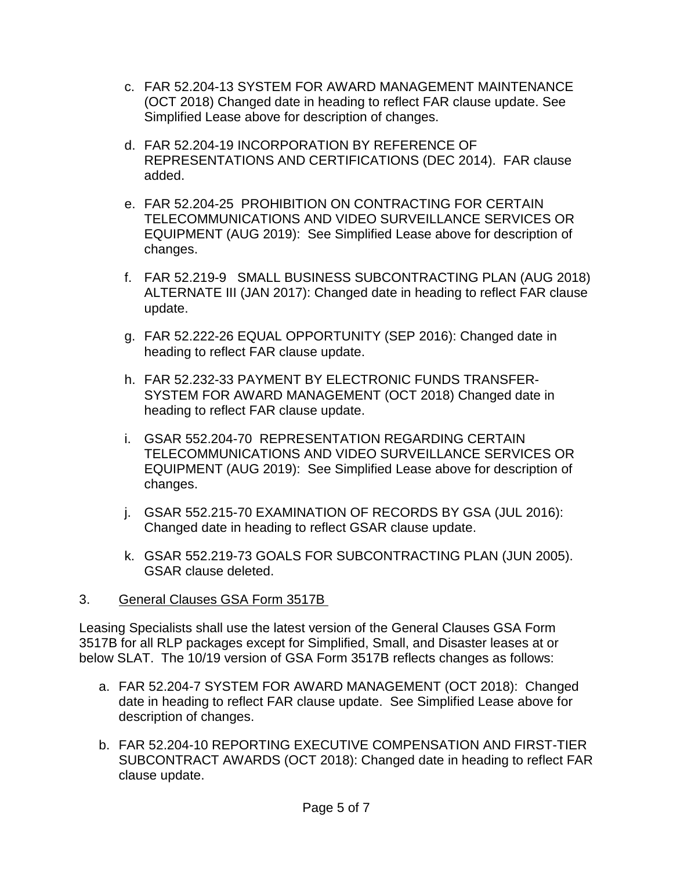- c. FAR 52.204-13 SYSTEM FOR AWARD MANAGEMENT MAINTENANCE (OCT 2018) Changed date in heading to reflect FAR clause update. See Simplified Lease above for description of changes.
- d. FAR 52.204-19 INCORPORATION BY REFERENCE OF REPRESENTATIONS AND CERTIFICATIONS (DEC 2014). FAR clause added.
- e. FAR 52.204-25 PROHIBITION ON CONTRACTING FOR CERTAIN TELECOMMUNICATIONS AND VIDEO SURVEILLANCE SERVICES OR EQUIPMENT (AUG 2019): See Simplified Lease above for description of changes.
- f. FAR 52.219-9 SMALL BUSINESS SUBCONTRACTING PLAN (AUG 2018) ALTERNATE III (JAN 2017): Changed date in heading to reflect FAR clause update.
- g. FAR 52.222-26 EQUAL OPPORTUNITY (SEP 2016): Changed date in heading to reflect FAR clause update.
- h. FAR 52.232-33 PAYMENT BY ELECTRONIC FUNDS TRANSFER-SYSTEM FOR AWARD MANAGEMENT (OCT 2018) Changed date in heading to reflect FAR clause update.
- i. GSAR 552.204-70 REPRESENTATION REGARDING CERTAIN TELECOMMUNICATIONS AND VIDEO SURVEILLANCE SERVICES OR EQUIPMENT (AUG 2019): See Simplified Lease above for description of changes.
- j. GSAR 552.215-70 EXAMINATION OF RECORDS BY GSA (JUL 2016): Changed date in heading to reflect GSAR clause update.
- k. GSAR 552.219-73 GOALS FOR SUBCONTRACTING PLAN (JUN 2005). GSAR clause deleted.
- 3. General Clauses GSA Form 3517B

Leasing Specialists shall use the latest version of the General Clauses GSA Form 3517B for all RLP packages except for Simplified, Small, and Disaster leases at or below SLAT. The 10/19 version of GSA Form 3517B reflects changes as follows:

- a. FAR 52.204-7 SYSTEM FOR AWARD MANAGEMENT (OCT 2018): Changed date in heading to reflect FAR clause update. See Simplified Lease above for description of changes.
- b. FAR 52.204-10 REPORTING EXECUTIVE COMPENSATION AND FIRST-TIER SUBCONTRACT AWARDS (OCT 2018): Changed date in heading to reflect FAR clause update.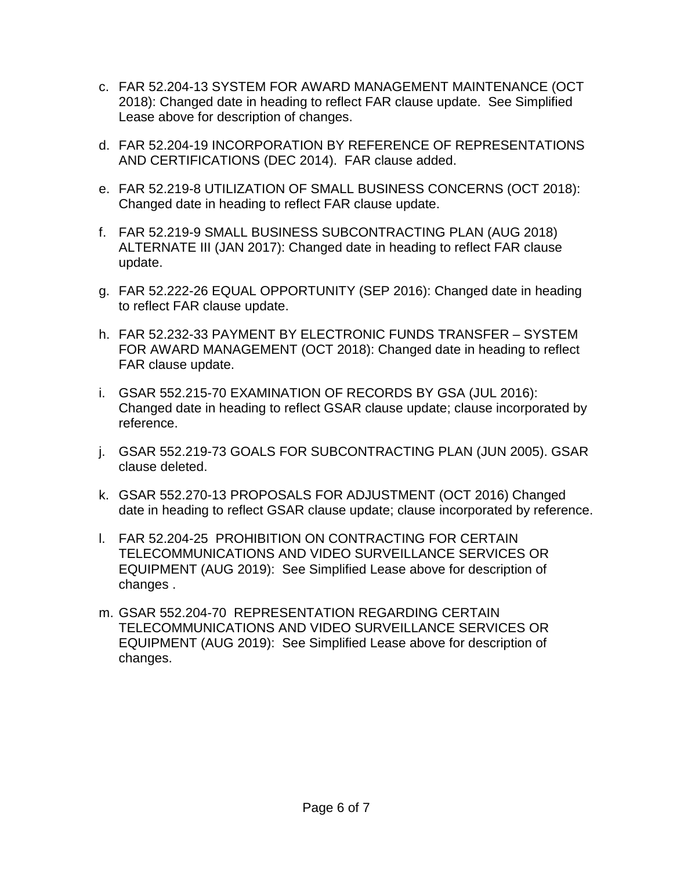- c. FAR 52.204-13 SYSTEM FOR AWARD MANAGEMENT MAINTENANCE (OCT 2018): Changed date in heading to reflect FAR clause update. See Simplified Lease above for description of changes.
- d. FAR 52.204-19 INCORPORATION BY REFERENCE OF REPRESENTATIONS AND CERTIFICATIONS (DEC 2014). FAR clause added.
- e. FAR 52.219-8 UTILIZATION OF SMALL BUSINESS CONCERNS (OCT 2018): Changed date in heading to reflect FAR clause update.
- f. FAR 52.219-9 SMALL BUSINESS SUBCONTRACTING PLAN (AUG 2018) ALTERNATE III (JAN 2017): Changed date in heading to reflect FAR clause update.
- g. FAR 52.222-26 EQUAL OPPORTUNITY (SEP 2016): Changed date in heading to reflect FAR clause update.
- h. FAR 52.232-33 PAYMENT BY ELECTRONIC FUNDS TRANSFER SYSTEM FOR AWARD MANAGEMENT (OCT 2018): Changed date in heading to reflect FAR clause update.
- i. GSAR 552.215-70 EXAMINATION OF RECORDS BY GSA (JUL 2016): Changed date in heading to reflect GSAR clause update; clause incorporated by reference.
- j. GSAR 552.219-73 GOALS FOR SUBCONTRACTING PLAN (JUN 2005). GSAR clause deleted.
- k. GSAR 552.270-13 PROPOSALS FOR ADJUSTMENT (OCT 2016) Changed date in heading to reflect GSAR clause update; clause incorporated by reference.
- l. FAR 52.204-25 PROHIBITION ON CONTRACTING FOR CERTAIN TELECOMMUNICATIONS AND VIDEO SURVEILLANCE SERVICES OR EQUIPMENT (AUG 2019): See Simplified Lease above for description of changes .
- m. GSAR 552.204-70 REPRESENTATION REGARDING CERTAIN TELECOMMUNICATIONS AND VIDEO SURVEILLANCE SERVICES OR EQUIPMENT (AUG 2019): See Simplified Lease above for description of changes.